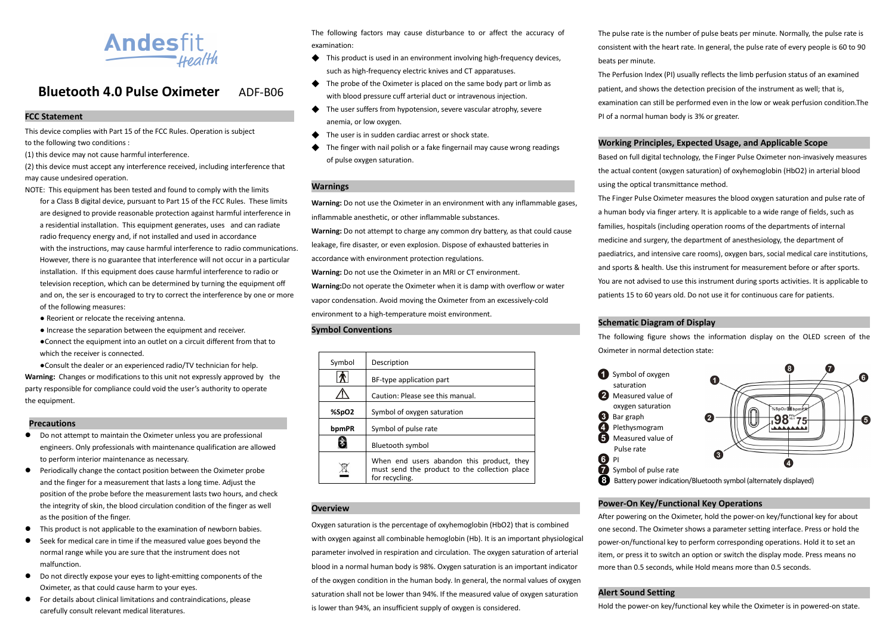

#### **Bluetooth 4.0 Pulse Oximeter**ADF-B06

#### **FCC Statement**

This device complies with Part 15 of the FCC Rules. Operation is subject to the following two conditions :

(1) this device may not cause harmful interference.

(2) this device must accept any interference received, including interference that may cause undesired operation.

NOTE: This equipment has been tested and found to comply with the limits

- for a Class B digital device, pursuant to Part 15 of the FCC Rules. These limits are designed to provide reasonable protection against harmful interference in a residential installation. This equipment generates, uses and can radiate radio frequency energy and, if not installed and used in accordance with the instructions, may cause harmful interference to radio communications. However, there is no guarantee that interference will not occur in a particular installation. If this equipment does cause harmful interference to radio or television reception, which can be determined by turning the equipment off and on, the ser is encouraged to try to correct the interference by one or more of the following measures:
- Reorient or relocate the receiving antenna.
- Increase the separation between the equipment and receiver.
- ●Connect the equipment into an outlet on a circuit different from that to which the receiver is connected.

●Consult the dealer or an experienced radio/TV technician for help. **Warning:** Changes or modifications to this unit not expressly approved by the party responsible for compliance could void the user's authority to operate the equipment.

#### **Precautions**

- Do not attempt to maintain the Oximeter unless you are professional engineers. Only professionals with maintenance qualification are allowed to perform interior maintenance as necessary.
- **•** Periodically change the contact position between the Oximeter probe and the finger for a measurement that lasts a long time. Adjust the position of the probe before the measurement lasts two hours, and check the integrity of skin, the blood circulation condition of the finger as well as the position of the finger.
- This product is not applicable to the examination of newborn babies.
- Seek for medical care in time if the measured value goes beyond the normal range while you are sure that the instrument does not malfunction.
- Do not directly expose your eyes to light-emitting components of the Oximeter, as that could cause harm to your eyes.
- For details about clinical limitations and contraindications, please carefully consult relevant medical literatures.

The following factors may cause disturbance to or affect the accuracy of examination:

- ◆ This product is used in an environment involving high-frequency devices, such as high-frequency electric knives and CT apparatuses.
- ◆ The probe of the Oximeter is placed on the same body part or limb as with blood pressure cuff arterial duct or intravenous injection.
- ◆ The user suffers from hypotension, severe vascular atrophy, severe anemia, or low oxygen.
- The user is in sudden cardiac arrest or shock state.
- The finger with nail polish or a fake fingernail may cause wrong readings of pulse oxygen saturation.

### **Warnings**

**Warning:** Do not use the Oximeter in an environment with any inflammable gases, inflammable anesthetic, or other inflammable substances.

**Warning:** Do not attempt to charge any common dry battery, as that could cause leakage, fire disaster, or even explosion. Dispose of exhausted batteries in

accordance with environment protection regulations.

**Warning:** Do not use the Oximeter in an MRI or CT environment.

**Warning:**Do not operate the Oximeter when it is damp with overflow or water vapor condensation. Avoid moving the Oximeter from an excessively-cold environment to a high-temperature moist environment.

#### **Symbol Conventions**

| Symbol | Description                                                                                                  |  |
|--------|--------------------------------------------------------------------------------------------------------------|--|
|        | BF-type application part                                                                                     |  |
|        | Caution: Please see this manual.                                                                             |  |
| %SpO2  | Symbol of oxygen saturation                                                                                  |  |
| bpmPR  | Symbol of pulse rate                                                                                         |  |
|        | Bluetooth symbol                                                                                             |  |
|        | When end users abandon this product, they<br>must send the product to the collection place<br>for recycling. |  |

#### **Overview**

Oxygen saturation is the percentage of oxyhemoglobin (HbO2) that is combined with oxygen against all combinable hemoglobin (Hb). It is an important physiological parameter involved in respiration and circulation. The oxygen saturation of arterial blood in a normal human body is 98%. Oxygen saturation is an important indicator of the oxygen condition in the human body. In general, the normal values of oxygen saturation shall not be lower than 94%. If the measured value of oxygen saturation is lower than 94%, an insufficient supply of oxygen is considered.

The pulse rate is the number of pulse beats per minute. Normally, the pulse rate is consistent with the heart rate. In general, the pulse rate of every people is 60 to 90 beats per minute.

The Perfusion Index (PI) usually reflects the limb perfusion status of an examined patient, and shows the detection precision of the instrument as well; that is, examination can still be performed even in the low or weak perfusion condition.The PI of a normal human body is 3% or greater.

#### **Working Principles, Expected Usage, and Applicable Scope**

Based on full digital technology, the Finger Pulse Oximeter non-invasively measures the actual content (oxygen saturation) of oxyhemoglobin (HbO2) in arterial blood using the optical transmittance method.

The Finger Pulse Oximeter measures the blood oxygen saturation and pulse rate of a human body via finger artery. It is applicable to a wide range of fields, such as families, hospitals (including operation rooms of the departments of internal medicine and surgery, the department of anesthesiology, the department of paediatrics, and intensive care rooms), oxygen bars, social medical care institutions, and sports & health. Use this instrument for measurement before or after sports. You are not advised to use this instrument during sports activities. It is applicable to patients 15 to 60 years old. Do not use it for continuous care for patients.

#### **Schematic Diagram of Display**

The following figure shows the information display on the OLED screen of the Oximeter in normal detection state:



#### **Power-On Key/Functional Key Operations**

After powering on the Oximeter, hold the power-on key/functional key for about one second. The Oximeter shows a parameter setting interface. Press or hold the power-on/functional key to perform corresponding operations. Hold it to set an item, or press it to switch an option or switch the display mode. Press means no more than 0.5 seconds, while Hold means more than 0.5 seconds.

#### **Alert Sound Setting**

Hold the power-on key/functional key while the Oximeter is in powered-on state.